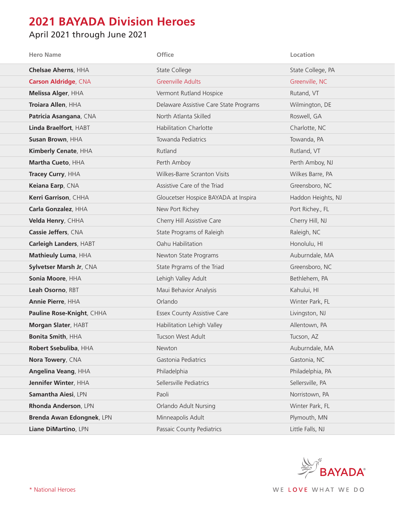## **2021 BAYADA Division Heroes**

## April 2021 through June 2021

| <b>Hero Name</b>            | Office                                 | Location           |
|-----------------------------|----------------------------------------|--------------------|
| Chelsae Aherns, HHA         | State College                          | State College, PA  |
| <b>Carson Aldridge, CNA</b> | <b>Greenville Adults</b>               | Greenville, NC     |
| Melissa Alger, HHA          | Vermont Rutland Hospice                | Rutand, VT         |
| Troiara Allen, HHA          | Delaware Assistive Care State Programs | Wilmington, DE     |
| Patricia Asangana, CNA      | North Atlanta Skilled                  | Roswell, GA        |
| Linda Braelfort, HABT       | <b>Habilitation Charlotte</b>          | Charlotte, NC      |
| Susan Brown, HHA            | Towanda Pediatrics                     | Towanda, PA        |
| Kimberly Cenate, HHA        | Rutland                                | Rutland, VT        |
| Martha Cueto, HHA           | Perth Amboy                            | Perth Amboy, NJ    |
| Tracey Curry, HHA           | Wilkes-Barre Scranton Visits           | Wilkes Barre, PA   |
| Keiana Earp, CNA            | Assistive Care of the Triad            | Greensboro, NC     |
| Kerri Garrison, CHHA        | Gloucetser Hospice BAYADA at Inspira   | Haddon Heights, NJ |
| Carla Gonzalez, HHA         | New Port Richey                        | Port Richey., FL   |
| Velda Henry, CHHA           | Cherry Hill Assistive Care             | Cherry Hill, NJ    |
| Cassie Jeffers, CNA         | State Programs of Raleigh              | Raleigh, NC        |
| Carleigh Landers, HABT      | Oahu Habilitation                      | Honolulu, HI       |
| Mathieuly Luma, HHA         | Newton State Programs                  | Auburndale, MA     |
| Sylvetser Marsh Jr, CNA     | State Prgrams of the Triad             | Greensboro, NC     |
| Sonia Moore, HHA            | Lehigh Valley Adult                    | Bethlehem, PA      |
| Leah Osorno, RBT            | Maui Behavior Analysis                 | Kahului, HI        |
| Annie Pierre, HHA           | Orlando                                | Winter Park, FL    |
| Pauline Rose-Knight, CHHA   | <b>Essex County Assistive Care</b>     | Livingston, NJ     |
| Morgan Slater, HABT         | Habilitation Lehigh Valley             | Allentown, PA      |
| <b>Bonita Smith, HHA</b>    | Tucson West Adult                      | Tucson, AZ         |
| Robert Ssebuliba, HHA       | Newton                                 | Auburndale, MA     |
| Nora Towery, CNA            | Gastonia Pediatrics                    | Gastonia, NC       |
| Angelina Veang, HHA         | Philadelphia                           | Philadelphia, PA   |
| Jennifer Winter, HHA        | Sellersville Pediatrics                | Sellersville, PA   |
| Samantha Aiesi, LPN         | Paoli                                  | Norristown, PA     |
| Rhonda Anderson, LPN        | Orlando Adult Nursing                  | Winter Park, FL    |
| Brenda Awan Edongnek, LPN   | Minneapolis Adult                      | Plymouth, MN       |
| Liane DiMartino, LPN        | Passaic County Pediatrics              | Little Falls, NJ   |

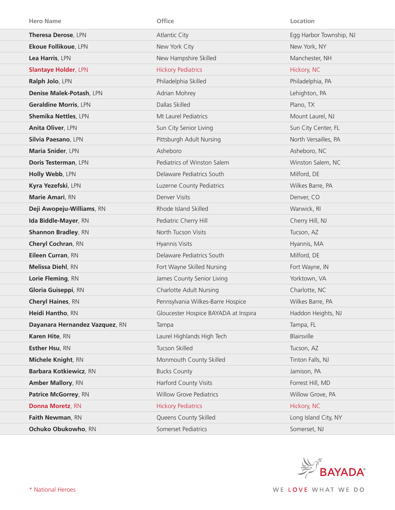| <b>Hero Name</b>               | Office                               | Location                |
|--------------------------------|--------------------------------------|-------------------------|
| Theresa Derose, LPN            | <b>Atlantic City</b>                 | Egg Harbor Township, NJ |
| Ekoue Follikoue, LPN           | New York City                        | New York, NY            |
| Lea Harris, LPN                | New Hampshire Skilled                | Manchester, NH          |
| <b>Slantaye Holder, LPN</b>    | <b>Hickory Pediatrics</b>            | Hickory, NC             |
| Ralph Jolo, LPN                | Philadelphia Skilled                 | Philadelphia, PA        |
| Denise Malek-Potash, LPN       | Adrian Mohrey                        | Lehighton, PA           |
| <b>Geraldine Morris, LPN</b>   | Dallas Skilled                       | Plano, TX               |
| <b>Shemika Nettles, LPN</b>    | Mt Laurel Pediatrics                 | Mount Laurel, NJ        |
| Anita Oliver, LPN              | Sun City Senior Living               | Sun City Center, FL     |
| Silvia Paesano, LPN            | Pittsburgh Adult Nursing             | North Versailles, PA    |
| Maria Snider, LPN              | Asheboro                             | Asheboro, NC            |
| Doris Testerman, LPN           | Pediatrics of Winston Salem          | Winston Salem, NC       |
| Holly Webb, LPN                | Delaware Pediatrics South            | Milford, DE             |
| Kyra Yezefski, LPN             | Luzerne County Pediatrics            | Wilkes Barre, PA        |
| Marie Amari, RN                | Denver Visits                        | Denver, CO              |
| Deji Awopeju-Williams, RN      | Rhode Island Skilled                 | Warwick, RI             |
| Ida Biddle-Mayer, RN           | Pediatric Cherry Hill                | Cherry Hill, NJ         |
| <b>Shannon Bradley, RN</b>     | North Tucson Visits                  | Tucson, AZ              |
| Cheryl Cochran, RN             | Hyannis Visits                       | Hyannis, MA             |
| Eileen Curran, RN              | Delaware Pediatrics South            | Milford, DE             |
| <b>Melissa Diehl, RN</b>       | Fort Wayne Skilled Nursing           | Fort Wayne, IN          |
| Lorie Fleming, RN              | James County Senior Living           | Yorktown, VA            |
| Gloria Guiseppi, RN            | <b>Charlotte Adult Nursing</b>       | Charlotte, NC           |
| <b>Cheryl Haines, RN</b>       | Pennsylvania Wilkes-Barre Hospice    | Wilkes Barre, PA        |
| Heidi Hantho, RN               | Gloucester Hospice BAYADA at Inspira | Haddon Heights, NJ      |
| Dayanara Hernandez Vazquez, RN | Tampa                                | Tampa, FL               |
| Karen Hite, RN                 | Laurel Highlands High Tech           | Blairsville             |
| Esther Hsu, RN                 | Tucson Skilled                       | Tucson, AZ              |
| Michele Knight, RN             | Monmouth County Skilled              | Tinton Falls, NJ        |
| Barbara Kotkiewicz, RN         | <b>Bucks County</b>                  | Jamison, PA             |
| <b>Amber Mallory, RN</b>       | <b>Harford County Visits</b>         | Forrest Hill, MD        |
| Patrice McGorrey, RN           | <b>Willow Grove Pediatrics</b>       | Willow Grove, PA        |
| <b>Donna Moretz, RN</b>        | <b>Hickory Pediatrics</b>            | Hickory, NC             |
| Faith Newman, RN               | Queens County Skilled                | Long Island City, NY    |
| Ochuko Obukowho, RN            | Somerset Pediatrics                  | Somerset, NJ            |